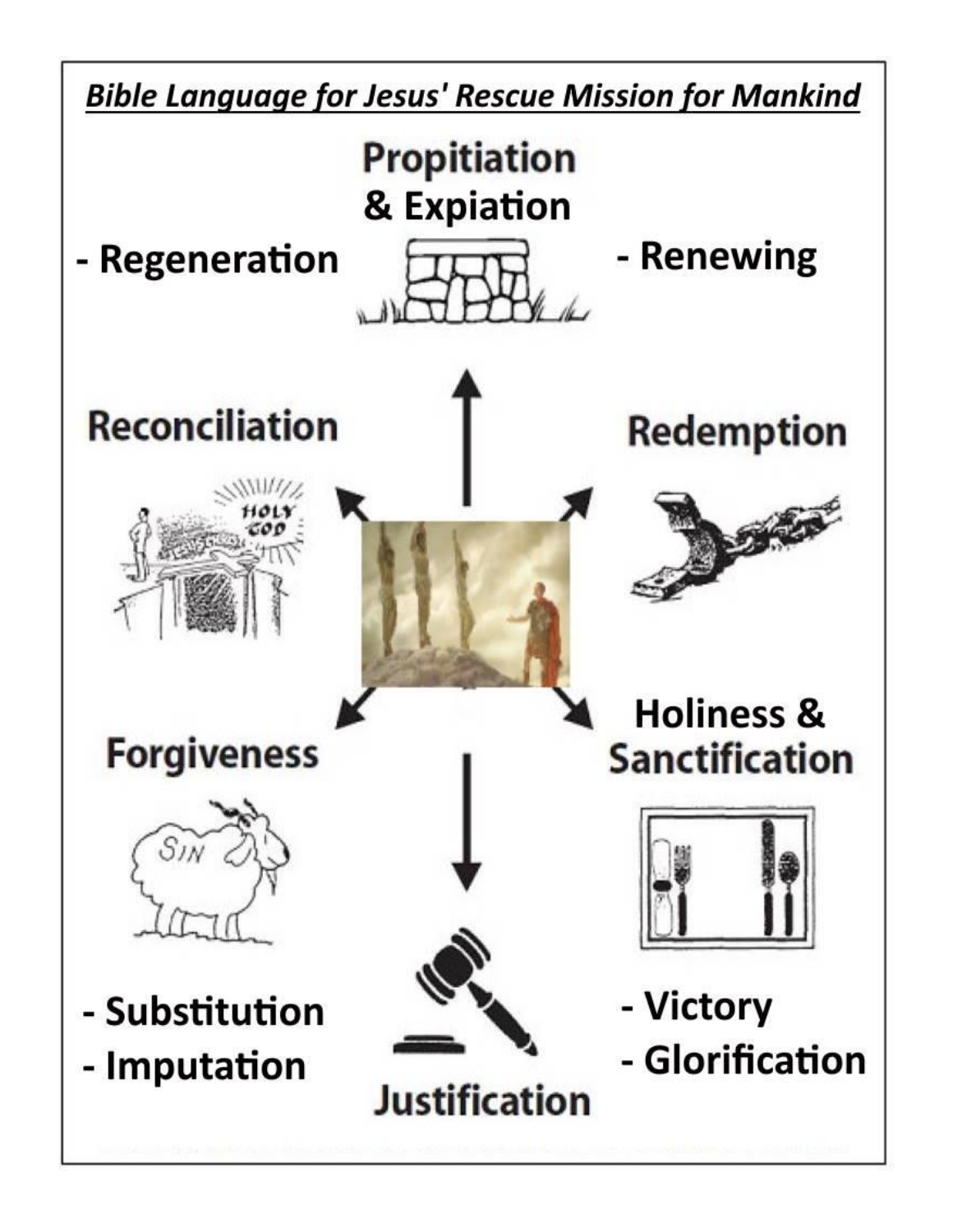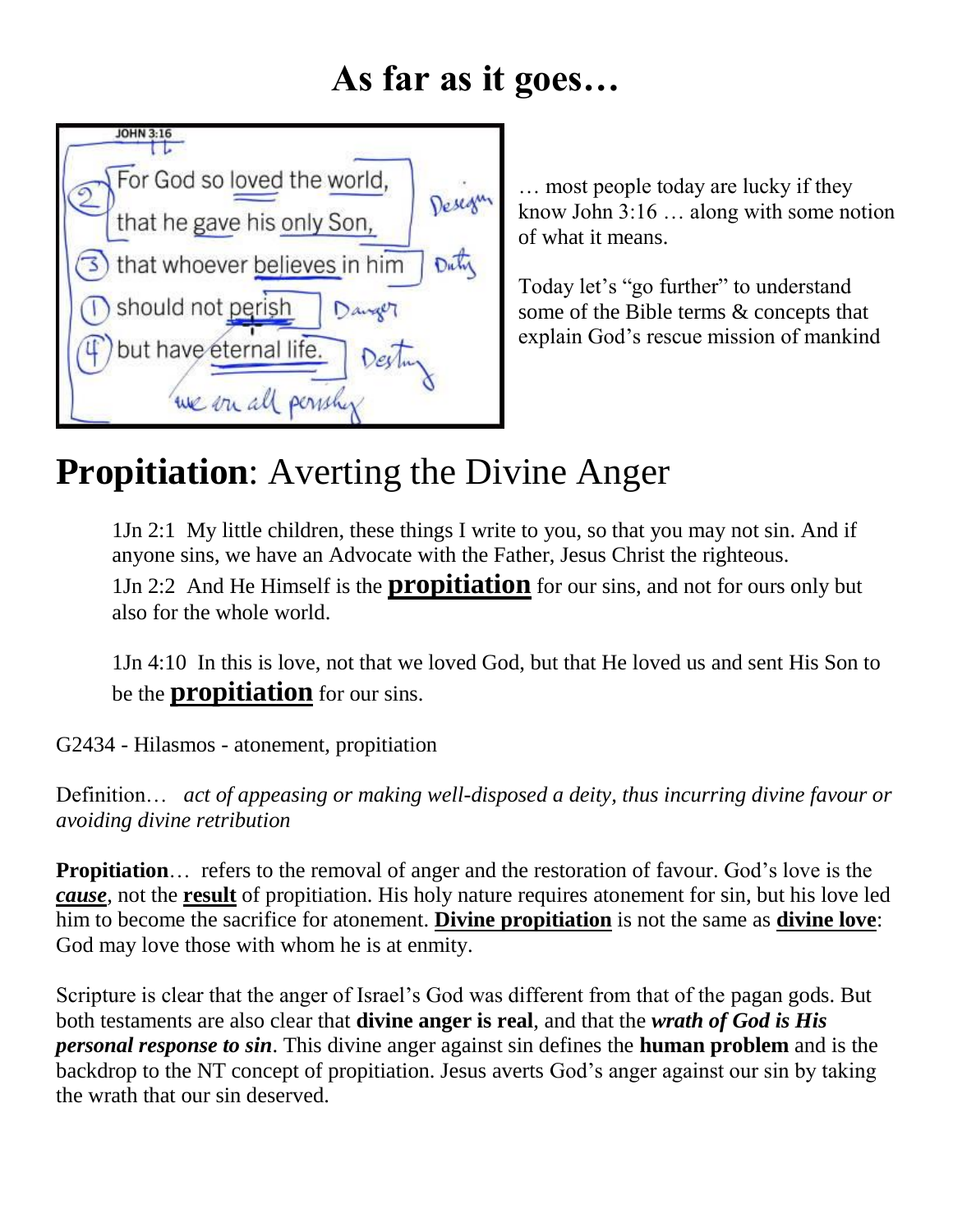#### **As far as it goes…**



… most people today are lucky if they know John 3:16 … along with some notion of what it means.

Today let's "go further" to understand some of the Bible terms & concepts that explain God's rescue mission of mankind

#### **Propitiation**: Averting the Divine Anger

1Jn 2:1 My little children, these things I write to you, so that you may not sin. And if anyone sins, we have an Advocate with the Father, Jesus Christ the righteous.

1Jn 2:2 And He Himself is the **propitiation** for our sins, and not for ours only but also for the whole world.

1Jn 4:10 In this is love, not that we loved God, but that He loved us and sent His Son to be the **propitiation** for our sins.

G2434 - Hilasmos - atonement, propitiation

Definition… *act of appeasing or making well-disposed a deity, thus incurring divine favour or avoiding divine retribution*

**Propitiation**… refers to the removal of anger and the restoration of favour. God's love is the *cause*, not the **result** of propitiation. His holy nature requires atonement for sin, but his love led him to become the sacrifice for atonement. **Divine propitiation** is not the same as **divine love**: God may love those with whom he is at enmity.

Scripture is clear that the anger of Israel's God was different from that of the pagan gods. But both testaments are also clear that **divine anger is real**, and that the *wrath of God is His personal response to sin*. This divine anger against sin defines the **human problem** and is the backdrop to the NT concept of propitiation. Jesus averts God's anger against our sin by taking the wrath that our sin deserved.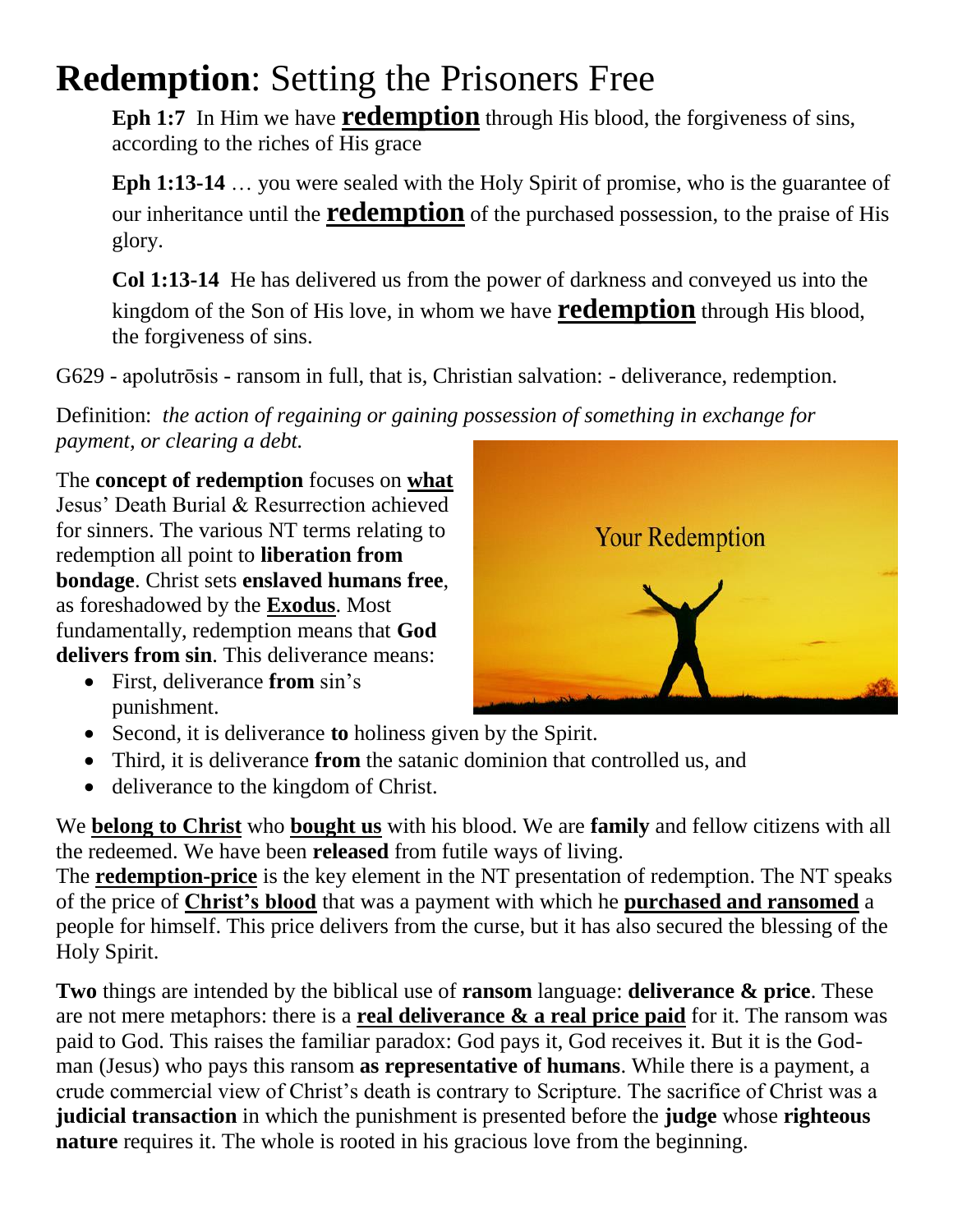#### **Redemption**: Setting the Prisoners Free

Eph 1:7 In Him we have **redemption** through His blood, the forgiveness of sins, according to the riches of His grace

**Eph 1:13-14** … you were sealed with the Holy Spirit of promise, who is the guarantee of our inheritance until the **redemption** of the purchased possession, to the praise of His glory.

**Col 1:13-14** He has delivered us from the power of darkness and conveyed us into the kingdom of the Son of His love, in whom we have **redemption** through His blood, the forgiveness of sins.

G629 - apolutrosis - ransom in full, that is, Christian salvation: - deliverance, redemption.

Definition: *the action of regaining or gaining possession of something in exchange for payment, or clearing a debt.*

The **concept of redemption** focuses on **what** Jesus' Death Burial & Resurrection achieved for sinners. The various NT terms relating to redemption all point to **liberation from bondage**. Christ sets **enslaved humans free**, as foreshadowed by the **Exodus**. Most fundamentally, redemption means that **God delivers from sin**. This deliverance means:

- First, deliverance **from** sin's punishment.
- **Your Redemption**
- Second, it is deliverance **to** holiness given by the Spirit.
- Third, it is deliverance **from** the satanic dominion that controlled us, and
- deliverance to the kingdom of Christ.

We **belong to Christ** who **bought us** with his blood. We are **family** and fellow citizens with all the redeemed. We have been **released** from futile ways of living.

The **redemption-price** is the key element in the NT presentation of redemption. The NT speaks of the price of **Christ's blood** that was a payment with which he **purchased and ransomed** a people for himself. This price delivers from the curse, but it has also secured the blessing of the Holy Spirit.

**Two** things are intended by the biblical use of **ransom** language: **deliverance & price**. These are not mere metaphors: there is a **real deliverance & a real price paid** for it. The ransom was paid to God. This raises the familiar paradox: God pays it, God receives it. But it is the Godman (Jesus) who pays this ransom **as representative of humans**. While there is a payment, a crude commercial view of Christ's death is contrary to Scripture. The sacrifice of Christ was a **judicial transaction** in which the punishment is presented before the **judge** whose **righteous nature** requires it. The whole is rooted in his gracious love from the beginning.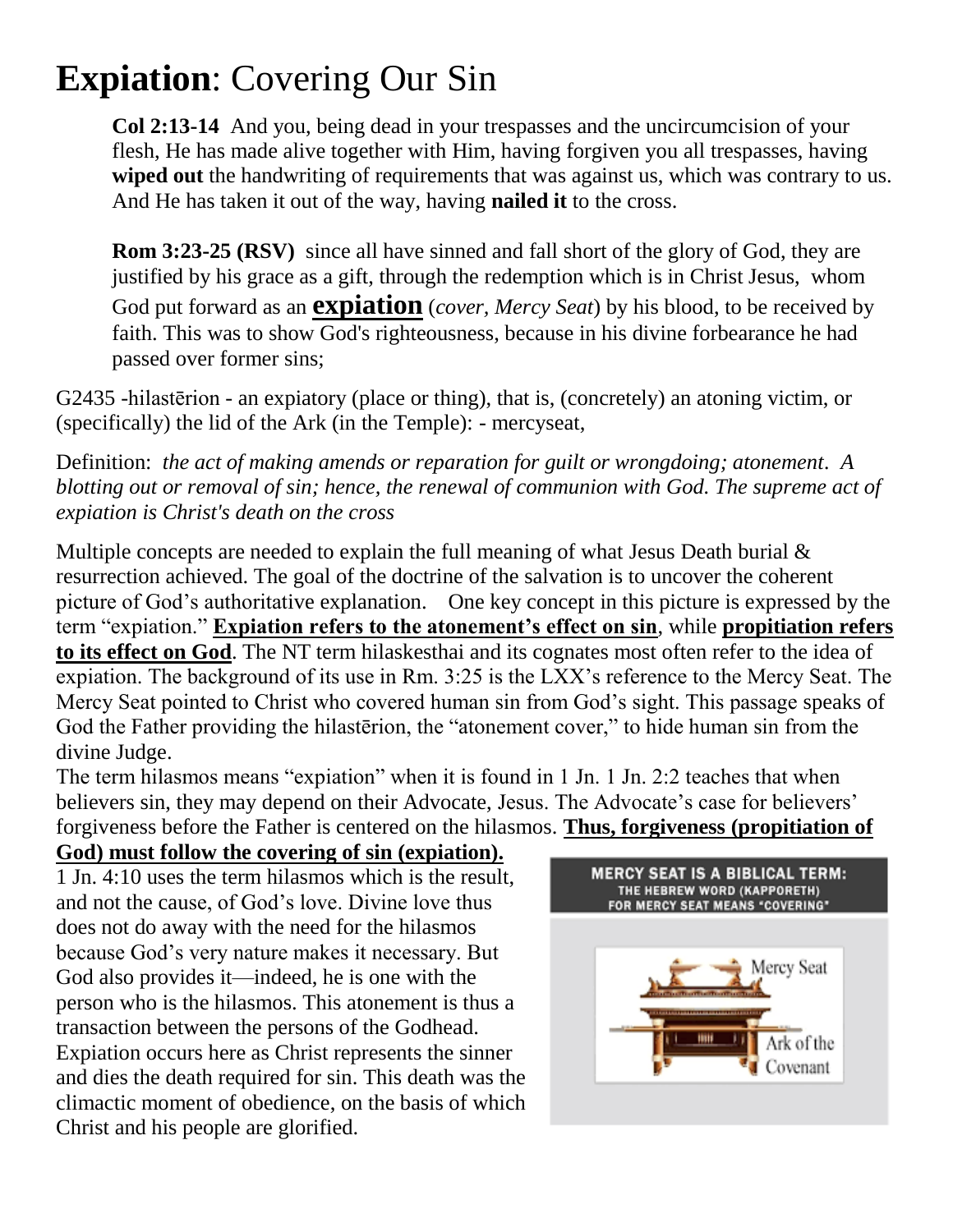### **Expiation**: Covering Our Sin

**Col 2:13-14** And you, being dead in your trespasses and the uncircumcision of your flesh, He has made alive together with Him, having forgiven you all trespasses, having **wiped out** the handwriting of requirements that was against us, which was contrary to us. And He has taken it out of the way, having **nailed it** to the cross.

**Rom 3:23-25 (RSV)** since all have sinned and fall short of the glory of God, they are justified by his grace as a gift, through the redemption which is in Christ Jesus, whom God put forward as an **expiation** (*cover, Mercy Seat*) by his blood, to be received by faith. This was to show God's righteousness, because in his divine forbearance he had passed over former sins;

G2435 -hilasterion - an expiatory (place or thing), that is, (concretely) an atoning victim, or (specifically) the lid of the Ark (in the Temple): - mercyseat,

Definition: *the act of making amends or reparation for guilt or wrongdoing; atonement. A blotting out or removal of sin; hence, the renewal of communion with God. The supreme act of expiation is Christ's death on the cross*

Multiple concepts are needed to explain the full meaning of what Jesus Death burial  $\&$ resurrection achieved. The goal of the doctrine of the salvation is to uncover the coherent picture of God's authoritative explanation. One key concept in this picture is expressed by the term "expiation." Expiation refers to the atonement's effect on sin, while propitiation refers **to its effect on God**. The NT term hilaskesthai and its cognates most often refer to the idea of expiation. The background of its use in Rm. 3:25 is the LXX's reference to the Mercy Seat. The Mercy Seat pointed to Christ who covered human sin from God's sight. This passage speaks of God the Father providing the hilasterion, the "atonement cover," to hide human sin from the divine Judge.

The term hilasmos means "expiation" when it is found in 1 Jn. 1 Jn. 2:2 teaches that when believers sin, they may depend on their Advocate, Jesus. The Advocate's case for believers' forgiveness before the Father is centered on the hilasmos. **Thus, forgiveness (propitiation of** 

#### **God) must follow the covering of sin (expiation).**

1 Jn. 4:10 uses the term hilasmos which is the result, and not the cause, of God's love. Divine love thus does not do away with the need for the hilasmos because God's very nature makes it necessary. But God also provides it—indeed, he is one with the person who is the hilasmos. This atonement is thus a transaction between the persons of the Godhead. Expiation occurs here as Christ represents the sinner and dies the death required for sin. This death was the climactic moment of obedience, on the basis of which Christ and his people are glorified.

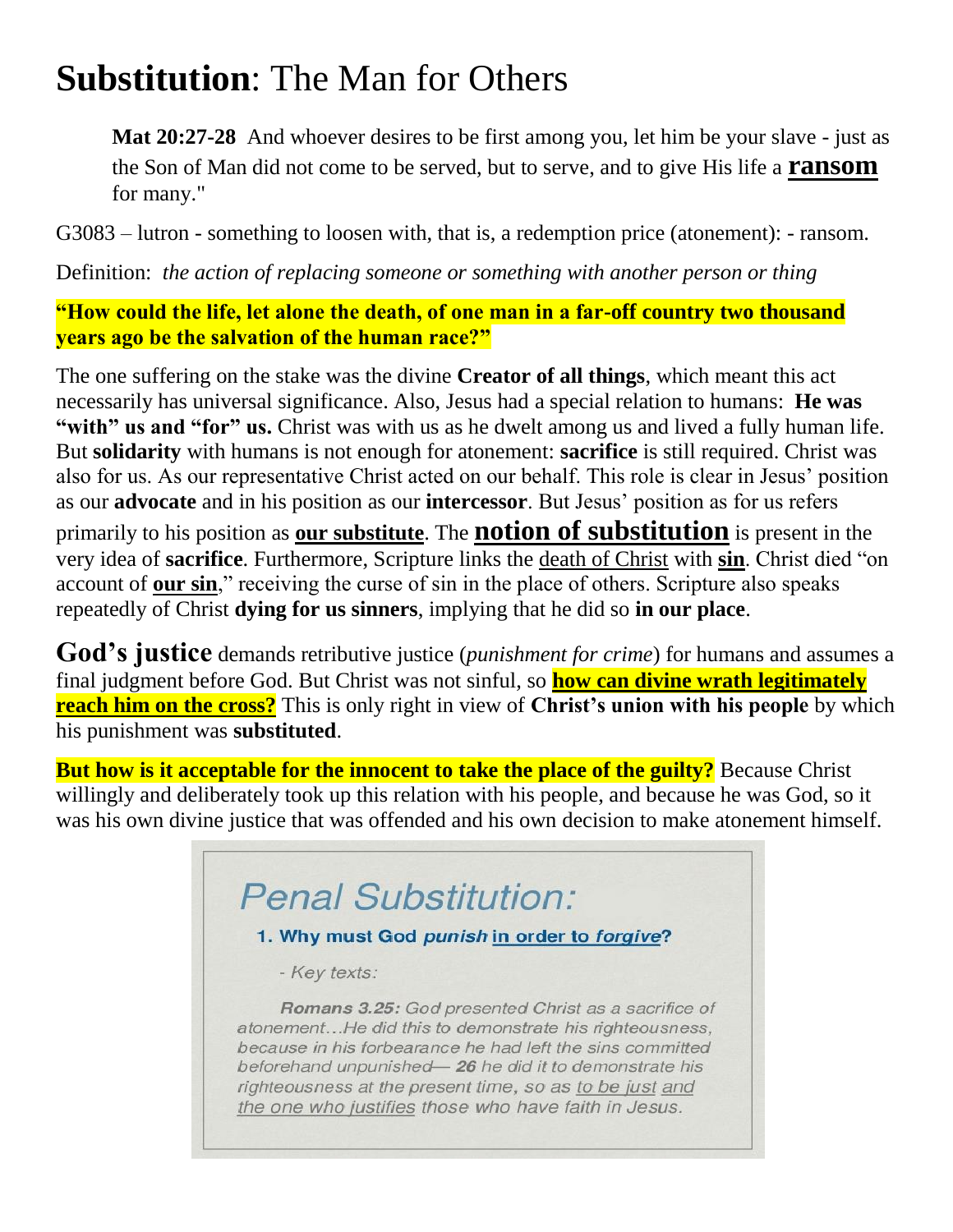#### **Substitution**: The Man for Others

**Mat 20:27-28** And whoever desires to be first among you, let him be your slave - just as the Son of Man did not come to be served, but to serve, and to give His life a **ransom** for many."

G3083 – lutron - something to loosen with, that is, a redemption price (atonement): - ransom.

Definition: *the action of replacing someone or something with another person or thing*

**"How could the life, let alone the death, of one man in a far-off country two thousand years ago be the salvation of the human race?"**

The one suffering on the stake was the divine **Creator of all things**, which meant this act necessarily has universal significance. Also, Jesus had a special relation to humans: **He was**  "with" us and "for" us. Christ was with us as he dwelt among us and lived a fully human life. But **solidarity** with humans is not enough for atonement: **sacrifice** is still required. Christ was also for us. As our representative Christ acted on our behalf. This role is clear in Jesus' position as our **advocate** and in his position as our **intercessor**. But Jesus' position as for us refers primarily to his position as **our substitute**. The **notion of substitution** is present in the very idea of **sacrifice**. Furthermore, Scripture links the death of Christ with **sin**. Christ died "on account of **our sin**," receiving the curse of sin in the place of others. Scripture also speaks repeatedly of Christ **dying for us sinners**, implying that he did so **in our place**.

**God's justice** demands retributive justice (*punishment for crime*) for humans and assumes a final judgment before God. But Christ was not sinful, so **how can divine wrath legitimately reach him on the cross?** This is only right in view of **Christ's union with his people** by which his punishment was **substituted**.

**But how is it acceptable for the innocent to take the place of the guilty?** Because Christ willingly and deliberately took up this relation with his people, and because he was God, so it was his own divine justice that was offended and his own decision to make atonement himself.

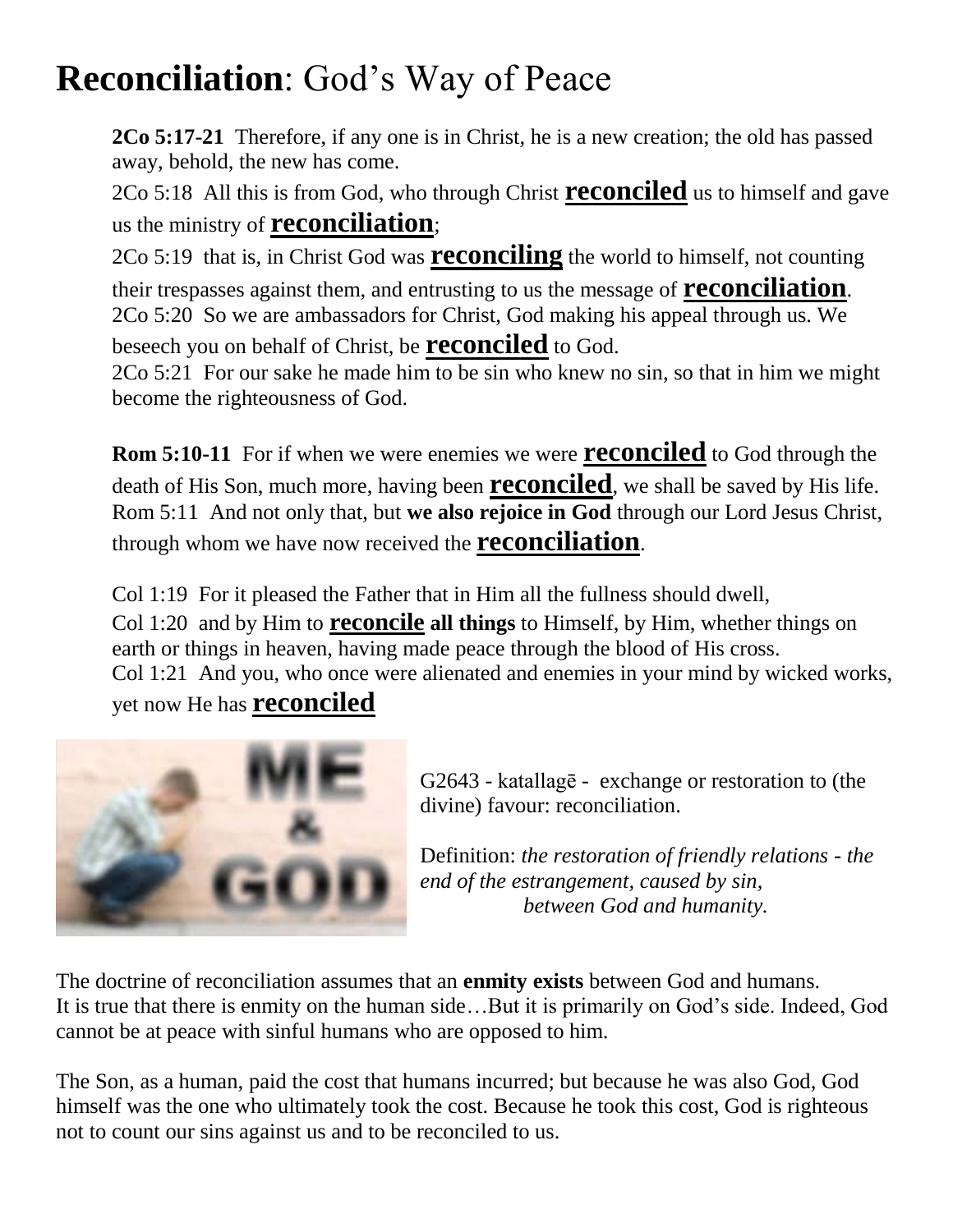### **Reconciliation**: God's Way of Peace

**2Co 5:17-21** Therefore, if any one is in Christ, he is a new creation; the old has passed away, behold, the new has come.

2Co 5:18 All this is from God, who through Christ **reconciled** us to himself and gave us the ministry of **reconciliation**;

2Co 5:19 that is, in Christ God was **reconciling** the world to himself, not counting their trespasses against them, and entrusting to us the message of **reconciliation**. 2Co 5:20 So we are ambassadors for Christ, God making his appeal through us. We beseech you on behalf of Christ, be **reconciled** to God.

2Co 5:21 For our sake he made him to be sin who knew no sin, so that in him we might become the righteousness of God.

**Rom 5:10-11** For if when we were enemies we were **reconciled** to God through the death of His Son, much more, having been **reconciled**, we shall be saved by His life. Rom 5:11 And not only that, but **we also rejoice in God** through our Lord Jesus Christ, through whom we have now received the **reconciliation**.

Col 1:19 For it pleased the Father that in Him all the fullness should dwell, Col 1:20 and by Him to **reconcile all things** to Himself, by Him, whether things on earth or things in heaven, having made peace through the blood of His cross. Col 1:21 And you, who once were alienated and enemies in your mind by wicked works, yet now He has **reconciled**



 $G2643$  - katallage - exchange or restoration to (the divine) favour: reconciliation.

Definition: *the restoration of friendly relations - the end of the estrangement, caused by sin, between God and humanity.*

The doctrine of reconciliation assumes that an **enmity exists** between God and humans. It is true that there is enmity on the human side…But it is primarily on God's side. Indeed, God cannot be at peace with sinful humans who are opposed to him.

The Son, as a human, paid the cost that humans incurred; but because he was also God, God himself was the one who ultimately took the cost. Because he took this cost, God is righteous not to count our sins against us and to be reconciled to us.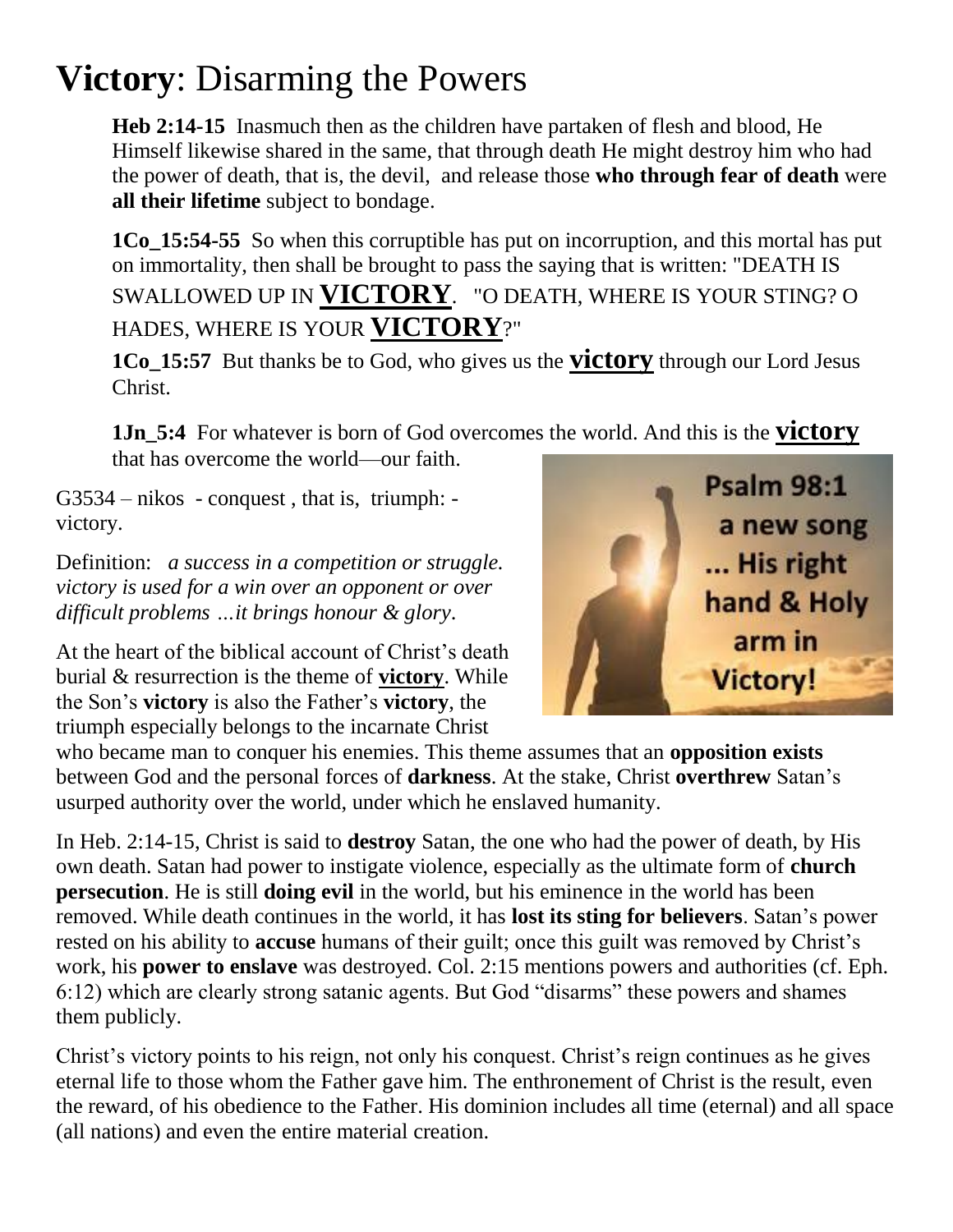### **Victory**: Disarming the Powers

**Heb 2:14-15** Inasmuch then as the children have partaken of flesh and blood, He Himself likewise shared in the same, that through death He might destroy him who had the power of death, that is, the devil, and release those **who through fear of death** were **all their lifetime** subject to bondage.

**1Co** 15:54-55 So when this corruptible has put on incorruption, and this mortal has put on immortality, then shall be brought to pass the saying that is written: "DEATH IS SWALLOWED UP IN **VICTORY**. "O DEATH, WHERE IS YOUR STING? O HADES, WHERE IS YOUR **VICTORY**?"

**1Co\_15:57** But thanks be to God, who gives us the **victory** through our Lord Jesus Christ.

**1Jn\_5:4** For whatever is born of God overcomes the world. And this is the **victory** that has overcome the world—our faith.

G3534 – nikos - conquest , that is, triumph: victory.

Definition: *a success in a competition or struggle. victory is used for a win over an opponent or over difficult problems …it brings honour & glory*.

At the heart of the biblical account of Christ's death burial & resurrection is the theme of **victory**. While the Son's **victory** is also the Father's **victory**, the triumph especially belongs to the incarnate Christ



who became man to conquer his enemies. This theme assumes that an **opposition exists** between God and the personal forces of **darkness**. At the stake, Christ **overthrew** Satan's usurped authority over the world, under which he enslaved humanity.

In Heb. 2:14-15, Christ is said to **destroy** Satan, the one who had the power of death, by His own death. Satan had power to instigate violence, especially as the ultimate form of **church persecution**. He is still **doing evil** in the world, but his eminence in the world has been removed. While death continues in the world, it has **lost its sting for believers**. Satan's power rested on his ability to **accuse** humans of their guilt; once this guilt was removed by Christ's work, his **power to enslave** was destroyed. Col. 2:15 mentions powers and authorities (cf. Eph. 6:12) which are clearly strong satanic agents. But God "disarms" these powers and shames them publicly.

Christ's victory points to his reign, not only his conquest. Christ's reign continues as he gives eternal life to those whom the Father gave him. The enthronement of Christ is the result, even the reward, of his obedience to the Father. His dominion includes all time (eternal) and all space (all nations) and even the entire material creation.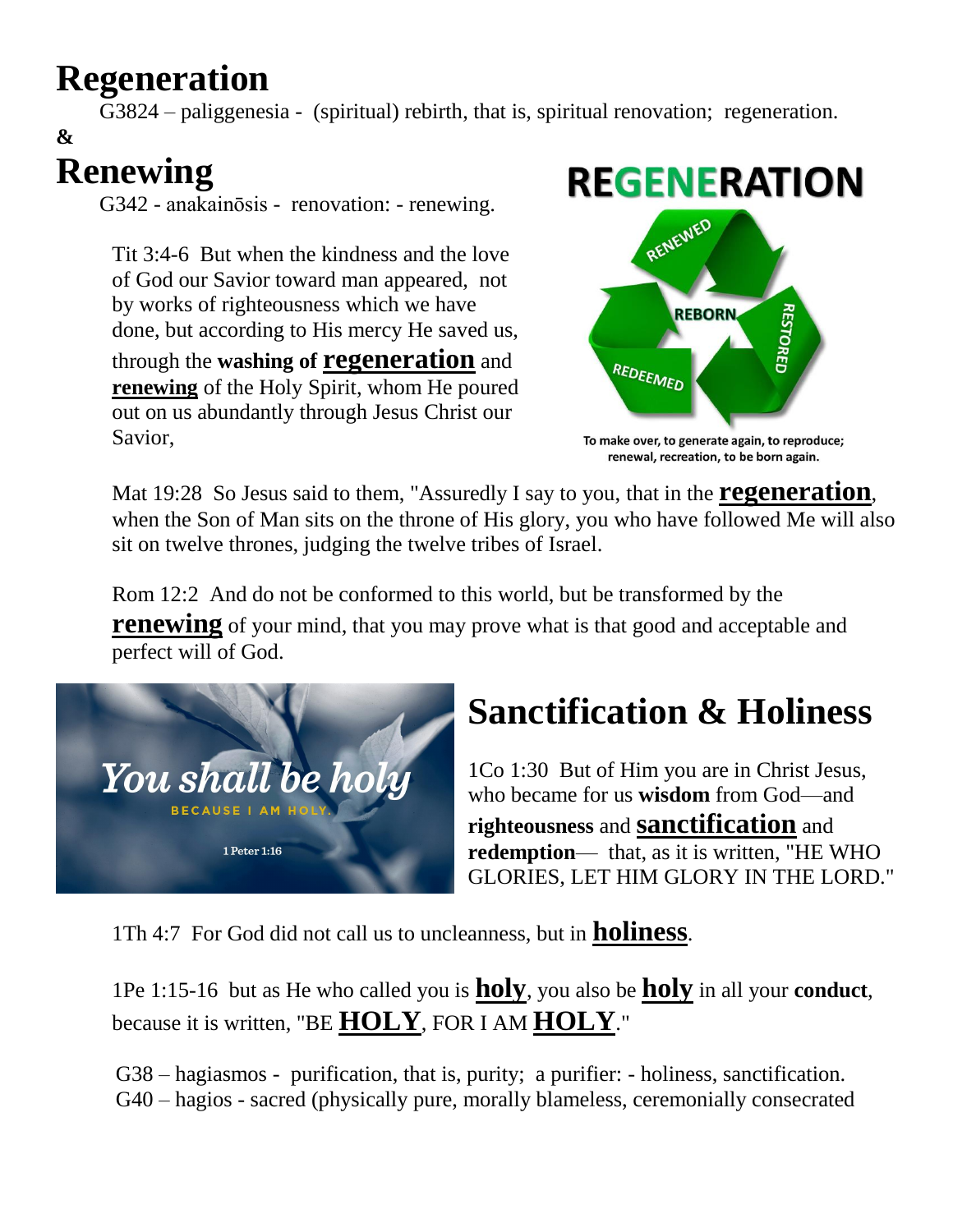### **Regeneration**

G3824 – paliggenesia - (spiritual) rebirth, that is, spiritual renovation; regeneration.

#### **& Renewing**

G342 - anakainōsis - renovation: - renewing.

Tit 3:4-6 But when the kindness and the love of God our Savior toward man appeared, not by works of righteousness which we have done, but according to His mercy He saved us, through the **washing of regeneration** and

**renewing** of the Holy Spirit, whom He poured out on us abundantly through Jesus Christ our Savior,



To make over, to generate again, to reproduce; renewal, recreation, to be born again.

Mat 19:28 So Jesus said to them, "Assuredly I say to you, that in the **regeneration**, when the Son of Man sits on the throne of His glory, you who have followed Me will also sit on twelve thrones, judging the twelve tribes of Israel.

Rom 12:2 And do not be conformed to this world, but be transformed by the **renewing** of your mind, that you may prove what is that good and acceptable and perfect will of God.



# **Sanctification & Holiness**

1Co 1:30 But of Him you are in Christ Jesus, who became for us **wisdom** from God—and **righteousness** and **sanctification** and **redemption**— that, as it is written, "HE WHO GLORIES, LET HIM GLORY IN THE LORD."

1Th 4:7 For God did not call us to uncleanness, but in **holiness**.

1Pe 1:15-16 but as He who called you is **holy**, you also be **holy** in all your **conduct**, because it is written, "BE **HOLY**, FOR I AM **HOLY**."

 G38 – hagiasmos - purification, that is, purity; a purifier: - holiness, sanctification. G40 – hagios - sacred (physically pure, morally blameless, ceremonially consecrated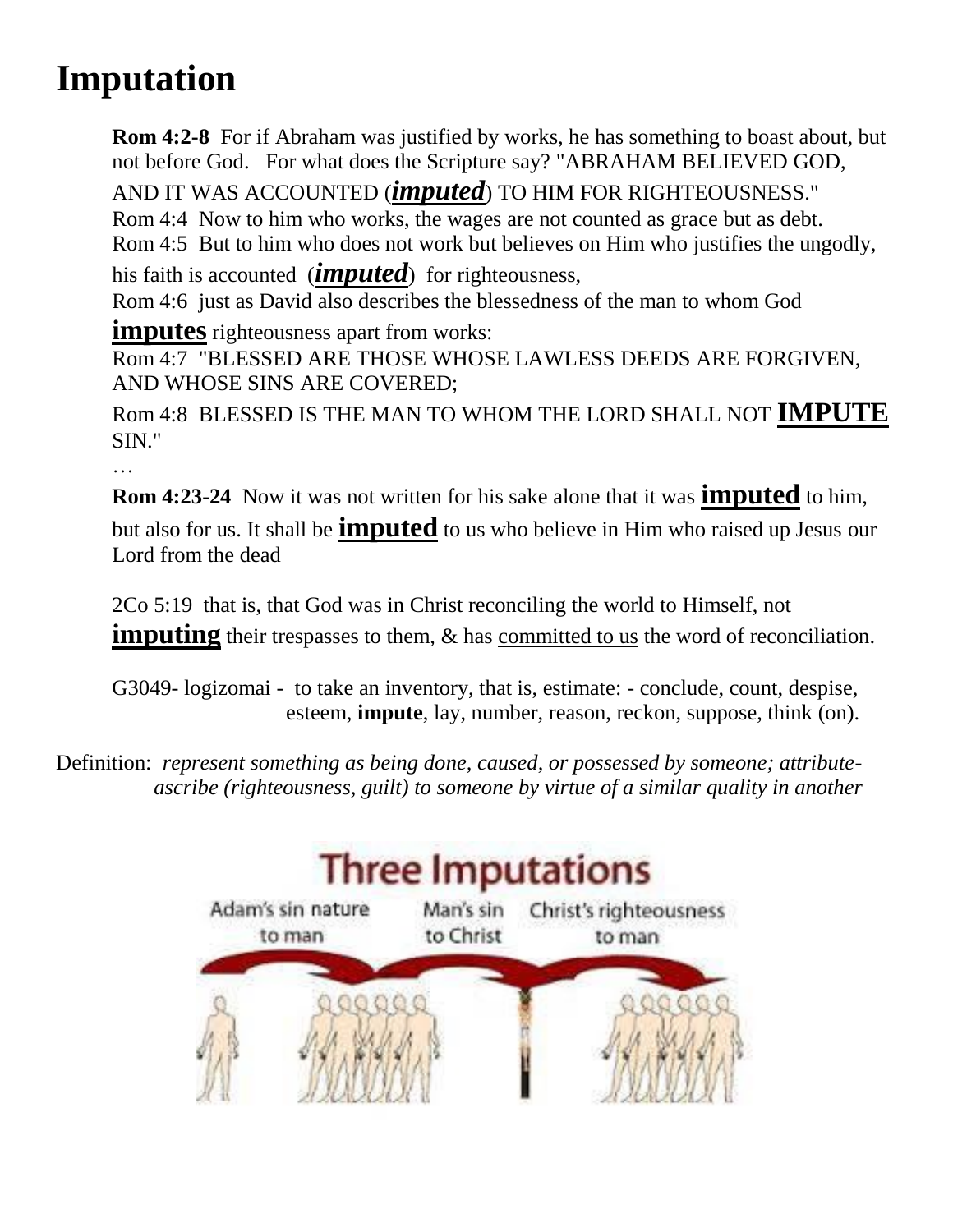## **Imputation**

**Rom 4:2-8** For if Abraham was justified by works, he has something to boast about, but not before God. For what does the Scripture say? "ABRAHAM BELIEVED GOD, AND IT WAS ACCOUNTED (*imputed*) TO HIM FOR RIGHTEOUSNESS." Rom 4:4 Now to him who works, the wages are not counted as grace but as debt. Rom 4:5 But to him who does not work but believes on Him who justifies the ungodly, his faith is accounted (*imputed*) for righteousness, Rom 4:6 just as David also describes the blessedness of the man to whom God **imputes** righteousness apart from works: Rom 4:7 "BLESSED ARE THOSE WHOSE LAWLESS DEEDS ARE FORGIVEN,

AND WHOSE SINS ARE COVERED;

Rom 4:8 BLESSED IS THE MAN TO WHOM THE LORD SHALL NOT **IMPUTE** SIN."

…

**Rom 4:23-24** Now it was not written for his sake alone that it was **imputed** to him, but also for us. It shall be **imputed** to us who believe in Him who raised up Jesus our Lord from the dead

2Co 5:19 that is, that God was in Christ reconciling the world to Himself, not **imputing** their trespasses to them, & has committed to us the word of reconciliation.

G3049- logizomai - to take an inventory, that is, estimate: - conclude, count, despise, esteem, **impute**, lay, number, reason, reckon, suppose, think (on).

Definition: *represent something as being done, caused, or possessed by someone; attribute ascribe (righteousness, guilt) to someone by virtue of a similar quality in another*